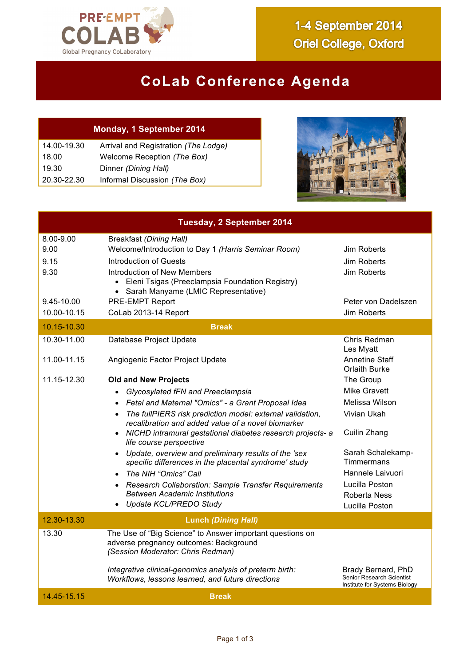

## **CoLab Conference Agenda**

## **Monday, 1 September 2014**

| 14.00-19.30 | Arrival and Registration (The Lodge) |
|-------------|--------------------------------------|
| 18.00       | Welcome Reception (The Box)          |
| 19.30       | Dinner (Dining Hall)                 |
| 20.30-22.30 | Informal Discussion (The Box)        |



| <b>Tuesday, 2 September 2014</b> |                                                                                                                                          |                                                                                         |
|----------------------------------|------------------------------------------------------------------------------------------------------------------------------------------|-----------------------------------------------------------------------------------------|
| 8.00-9.00<br>9.00                | <b>Breakfast (Dining Hall)</b><br>Welcome/Introduction to Day 1 (Harris Seminar Room)                                                    | Jim Roberts                                                                             |
| 9.15                             | Introduction of Guests                                                                                                                   | Jim Roberts                                                                             |
| 9.30                             | Introduction of New Members                                                                                                              | Jim Roberts                                                                             |
|                                  | • Eleni Tsigas (Preeclampsia Foundation Registry)<br>• Sarah Manyame (LMIC Representative)                                               |                                                                                         |
| 9.45-10.00                       | <b>PRE-EMPT Report</b>                                                                                                                   | Peter von Dadelszen                                                                     |
| 10.00-10.15                      | CoLab 2013-14 Report                                                                                                                     | Jim Roberts                                                                             |
| 10.15-10.30<br><b>Break</b>      |                                                                                                                                          |                                                                                         |
| 10.30-11.00                      | Database Project Update                                                                                                                  | Chris Redman<br>Les Myatt                                                               |
| 11.00-11.15                      | Angiogenic Factor Project Update                                                                                                         | <b>Annetine Staff</b><br><b>Orlaith Burke</b>                                           |
| 11.15-12.30                      | <b>Old and New Projects</b>                                                                                                              | The Group                                                                               |
|                                  | Glycosylated fFN and Preeclampsia<br>$\bullet$                                                                                           | <b>Mike Gravett</b>                                                                     |
|                                  | Fetal and Maternal "Omics" - a Grant Proposal Idea<br>$\bullet$                                                                          | Melissa Wilson                                                                          |
|                                  | The fullPIERS risk prediction model: external validation,<br>$\bullet$<br>recalibration and added value of a novel biomarker             | Vivian Ukah                                                                             |
|                                  | • NICHD intramural gestational diabetes research projects- a<br>life course perspective                                                  | Cuilin Zhang                                                                            |
|                                  | • Update, overview and preliminary results of the 'sex<br>specific differences in the placental syndrome' study                          | Sarah Schalekamp-<br>Timmermans                                                         |
|                                  | The NIH "Omics" Call                                                                                                                     | Hannele Laivuori                                                                        |
|                                  | • Research Collaboration: Sample Transfer Requirements                                                                                   | Lucilla Poston                                                                          |
|                                  | <b>Between Academic Institutions</b>                                                                                                     | Roberta Ness                                                                            |
|                                  | • Update KCL/PREDO Study                                                                                                                 | Lucilla Poston                                                                          |
| 12.30-13.30                      | <b>Lunch (Dining Hall)</b>                                                                                                               |                                                                                         |
| 13.30                            | The Use of "Big Science" to Answer important questions on<br>adverse pregnancy outcomes: Background<br>(Session Moderator: Chris Redman) |                                                                                         |
|                                  | Integrative clinical-genomics analysis of preterm birth:<br>Workflows, lessons learned, and future directions                            | Brady Bernard, PhD<br><b>Senior Research Scientist</b><br>Institute for Systems Biology |
| 14.45-15.15                      | <b>Break</b>                                                                                                                             |                                                                                         |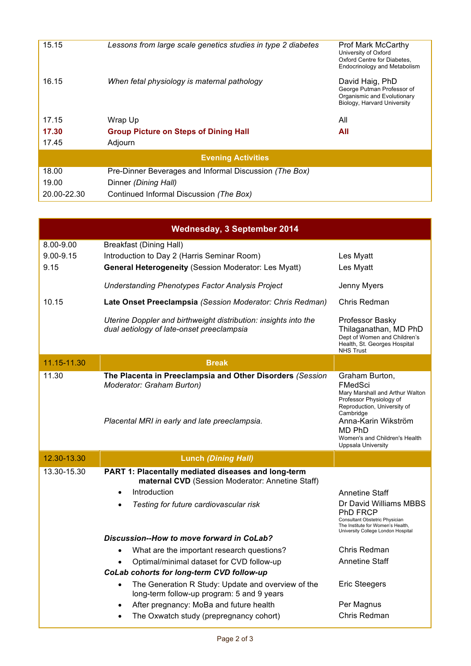| 15.15                     | Lessons from large scale genetics studies in type 2 diabetes | <b>Prof Mark McCarthy</b><br>University of Oxford<br>Oxford Centre for Diabetes,<br>Endocrinology and Metabolism |
|---------------------------|--------------------------------------------------------------|------------------------------------------------------------------------------------------------------------------|
| 16.15                     | When fetal physiology is maternal pathology                  | David Haig, PhD<br>George Putman Professor of<br>Organismic and Evolutionary<br>Biology, Harvard University      |
| 17.15                     | Wrap Up                                                      | All                                                                                                              |
| 17.30                     | <b>Group Picture on Steps of Dining Hall</b>                 | All                                                                                                              |
| 17.45                     | Adjourn                                                      |                                                                                                                  |
| <b>Evening Activities</b> |                                                              |                                                                                                                  |
| 18.00                     | Pre-Dinner Beverages and Informal Discussion (The Box)       |                                                                                                                  |
| 19.00                     | Dinner (Dining Hall)                                         |                                                                                                                  |
| 20.00-22.30               | Continued Informal Discussion (The Box)                      |                                                                                                                  |

| <b>Wednesday, 3 September 2014</b> |                                                                                                                                              |                                                                                                                                                 |
|------------------------------------|----------------------------------------------------------------------------------------------------------------------------------------------|-------------------------------------------------------------------------------------------------------------------------------------------------|
| 8.00-9.00<br>$9.00 - 9.15$<br>9.15 | <b>Breakfast (Dining Hall)</b><br>Introduction to Day 2 (Harris Seminar Room)<br><b>General Heterogeneity (Session Moderator: Les Myatt)</b> | Les Myatt<br>Les Myatt                                                                                                                          |
|                                    | <b>Understanding Phenotypes Factor Analysis Project</b>                                                                                      | Jenny Myers                                                                                                                                     |
| 10.15                              | Late Onset Preeclampsia (Session Moderator: Chris Redman)                                                                                    | Chris Redman                                                                                                                                    |
|                                    | Uterine Doppler and birthweight distribution: insights into the<br>dual aetiology of late-onset preeclampsia                                 | Professor Basky<br>Thilaganathan, MD PhD<br>Dept of Women and Children's<br>Health, St. Georges Hospital<br><b>NHS Trust</b>                    |
| 11.15-11.30                        | <b>Break</b>                                                                                                                                 |                                                                                                                                                 |
| 11.30                              | The Placenta in Preeclampsia and Other Disorders (Session<br>Moderator: Graham Burton)                                                       | Graham Burton,<br>FMedSci<br>Mary Marshall and Arthur Walton<br>Professor Physiology of<br>Reproduction, University of<br>Cambridge             |
|                                    | Placental MRI in early and late preeclampsia.                                                                                                | Anna-Karin Wikström<br><b>MD PhD</b><br>Women's and Children's Health<br><b>Uppsala University</b>                                              |
| 12.30-13.30                        | <b>Lunch (Dining Hall)</b>                                                                                                                   |                                                                                                                                                 |
| 13.30-15.30                        | PART 1: Placentally mediated diseases and long-term<br>maternal CVD (Session Moderator: Annetine Staff)                                      |                                                                                                                                                 |
|                                    | Introduction<br>$\bullet$                                                                                                                    | <b>Annetine Staff</b>                                                                                                                           |
|                                    | Testing for future cardiovascular risk<br>$\bullet$                                                                                          | Dr David Williams MBBS<br>PhD FRCP<br>Consultant Obstetric Physician<br>The Institute for Women's Health,<br>University College London Hospital |
|                                    | Discussion--How to move forward in CoLab?                                                                                                    |                                                                                                                                                 |
|                                    | What are the important research questions?                                                                                                   | Chris Redman                                                                                                                                    |
|                                    | Optimal/minimal dataset for CVD follow-up<br>CoLab cohorts for long-term CVD follow-up                                                       | <b>Annetine Staff</b>                                                                                                                           |
|                                    | The Generation R Study: Update and overview of the<br>$\bullet$<br>long-term follow-up program: 5 and 9 years                                | <b>Eric Steegers</b>                                                                                                                            |
|                                    | After pregnancy: MoBa and future health<br>$\bullet$                                                                                         | Per Magnus                                                                                                                                      |
|                                    | The Oxwatch study (prepregnancy cohort)<br>$\bullet$                                                                                         | Chris Redman                                                                                                                                    |